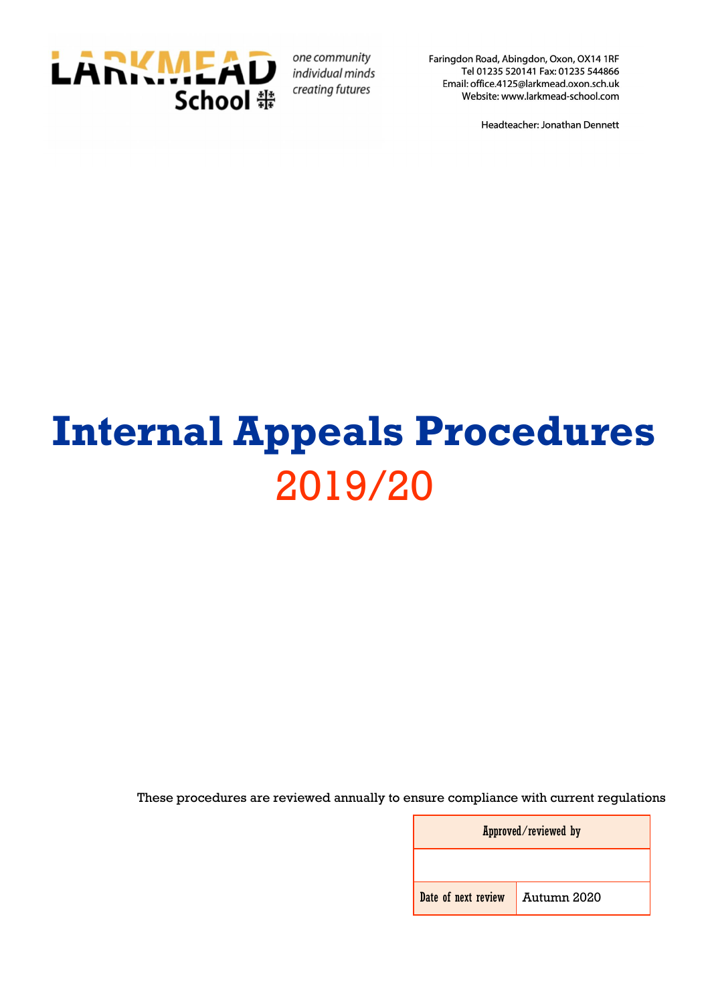

one community individual minds creating futures

Faringdon Road, Abingdon, Oxon, OX14 1RF Tel 01235 520141 Fax: 01235 544866 Email: office.4125@larkmead.oxon.sch.uk Website: www.larkmead-school.com

Headteacher: Jonathan Dennett

# **Internal Appeals Procedures** 2019/20

<span id="page-0-0"></span>These procedures are reviewed annually to ensure compliance with current regulations

| Approved/reviewed by              |  |  |
|-----------------------------------|--|--|
|                                   |  |  |
| Date of next review   Autumn 2020 |  |  |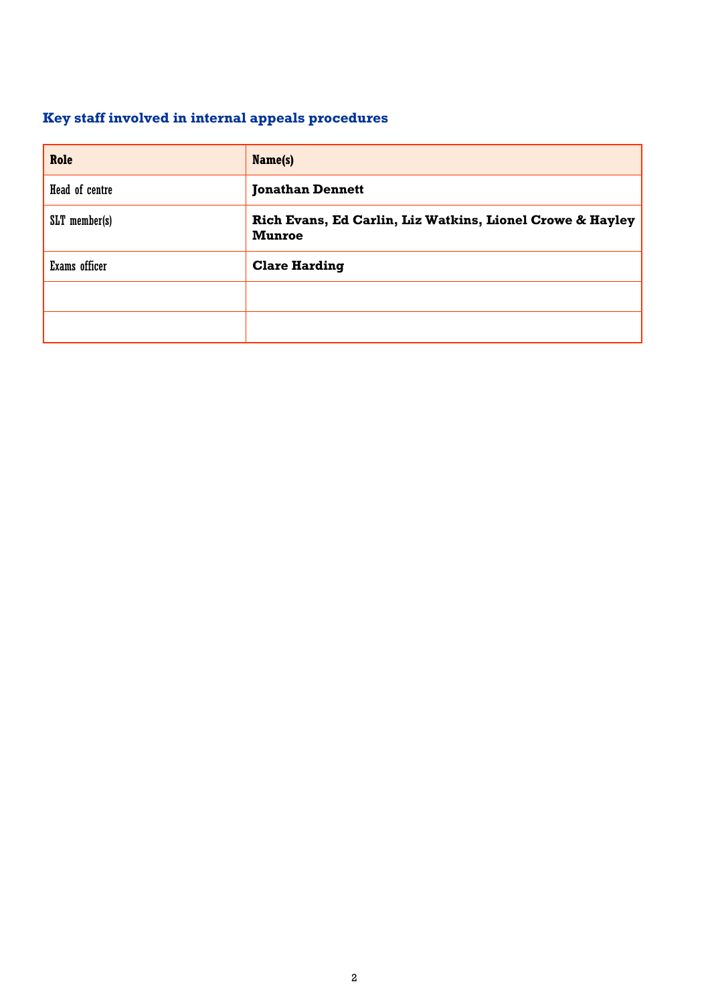## **Key staff involved in internal appeals procedures**

| Role           | Name(s)                                                                    |  |
|----------------|----------------------------------------------------------------------------|--|
| Head of centre | <b>Jonathan Dennett</b>                                                    |  |
| SLT member(s)  | Rich Evans, Ed Carlin, Liz Watkins, Lionel Crowe & Hayley<br><b>Munroe</b> |  |
| Exams officer  | <b>Clare Harding</b>                                                       |  |
|                |                                                                            |  |
|                |                                                                            |  |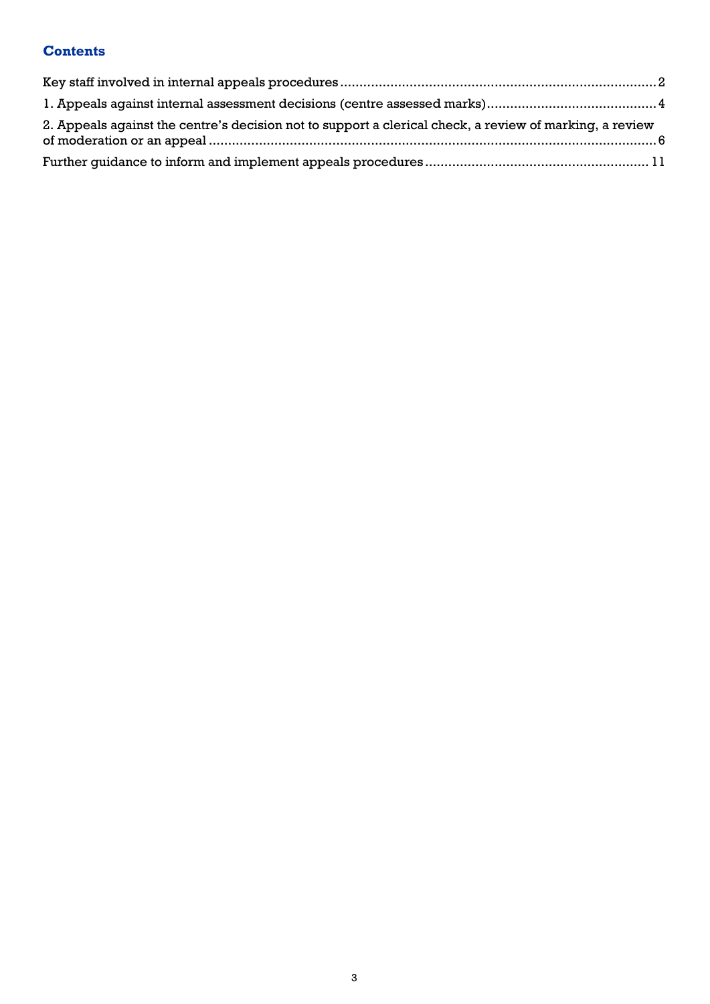#### **Contents**

| 2. Appeals against the centre's decision not to support a clerical check, a review of marking, a review |  |
|---------------------------------------------------------------------------------------------------------|--|
|                                                                                                         |  |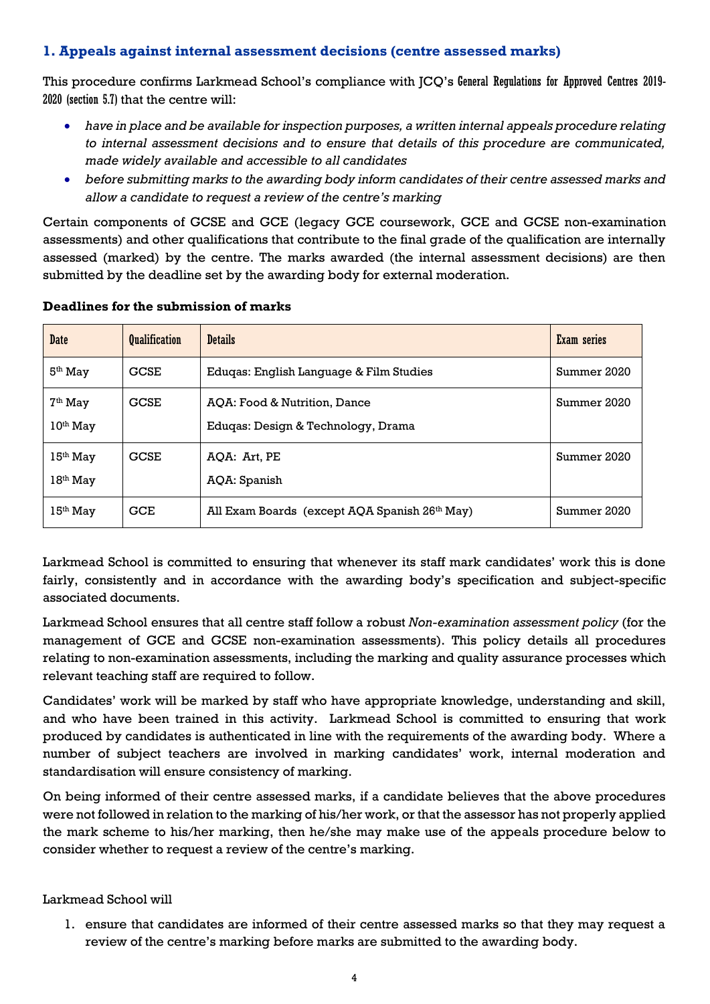#### <span id="page-3-0"></span>**1. Appeals against internal assessment decisions (centre assessed marks)**

This procedure confirms Larkmead School's compliance with JCQ's General Regulations for Approved Centres 2019- 2020 (section 5.7) that the centre will:

- *have in place and be available for inspection purposes, a written internal appeals procedure relating to internal assessment decisions and to ensure that details of this procedure are communicated, made widely available and accessible to all candidates*
- *before submitting marks to the awarding body inform candidates of their centre assessed marks and allow a candidate to request a review of the centre's marking*

Certain components of GCSE and GCE (legacy GCE coursework, GCE and GCSE non-examination assessments) and other qualifications that contribute to the final grade of the qualification are internally assessed (marked) by the centre. The marks awarded (the internal assessment decisions) are then submitted by the deadline set by the awarding body for external moderation.

| <b>Date</b>              | <b>Qualification</b> | <b>Details</b>                                                     | Exam series |
|--------------------------|----------------------|--------------------------------------------------------------------|-------------|
| $5th$ May                | <b>GCSE</b>          | Eduqas: English Language & Film Studies                            | Summer 2020 |
| $7th$ May<br>$10th$ May  | <b>GCSE</b>          | AOA: Food & Nutrition, Dance<br>Eduqas: Design & Technology, Drama | Summer 2020 |
| $15th$ May<br>$18th$ May | <b>GCSE</b>          | AOA: Art, PE<br>AQA: Spanish                                       | Summer 2020 |
| $15th$ May               | <b>GCE</b>           | All Exam Boards (except AQA Spanish 26th May)                      | Summer 2020 |

#### **Deadlines for the submission of marks**

Larkmead School is committed to ensuring that whenever its staff mark candidates' work this is done fairly, consistently and in accordance with the awarding body's specification and subject-specific associated documents.

Larkmead School ensures that all centre staff follow a robust *Non-examination assessment policy* (for the management of GCE and GCSE non-examination assessments). This policy details all procedures relating to non-examination assessments, including the marking and quality assurance processes which relevant teaching staff are required to follow.

Candidates' work will be marked by staff who have appropriate knowledge, understanding and skill, and who have been trained in this activity. Larkmead School is committed to ensuring that work produced by candidates is authenticated in line with the requirements of the awarding body. Where a number of subject teachers are involved in marking candidates' work, internal moderation and standardisation will ensure consistency of marking.

On being informed of their centre assessed marks, if a candidate believes that the above procedures were not followed in relation to the marking of his/her work, or that the assessor has not properly applied the mark scheme to his/her marking, then he/she may make use of the appeals procedure below to consider whether to request a review of the centre's marking.

#### Larkmead School will

1. ensure that candidates are informed of their centre assessed marks so that they may request a review of the centre's marking before marks are submitted to the awarding body.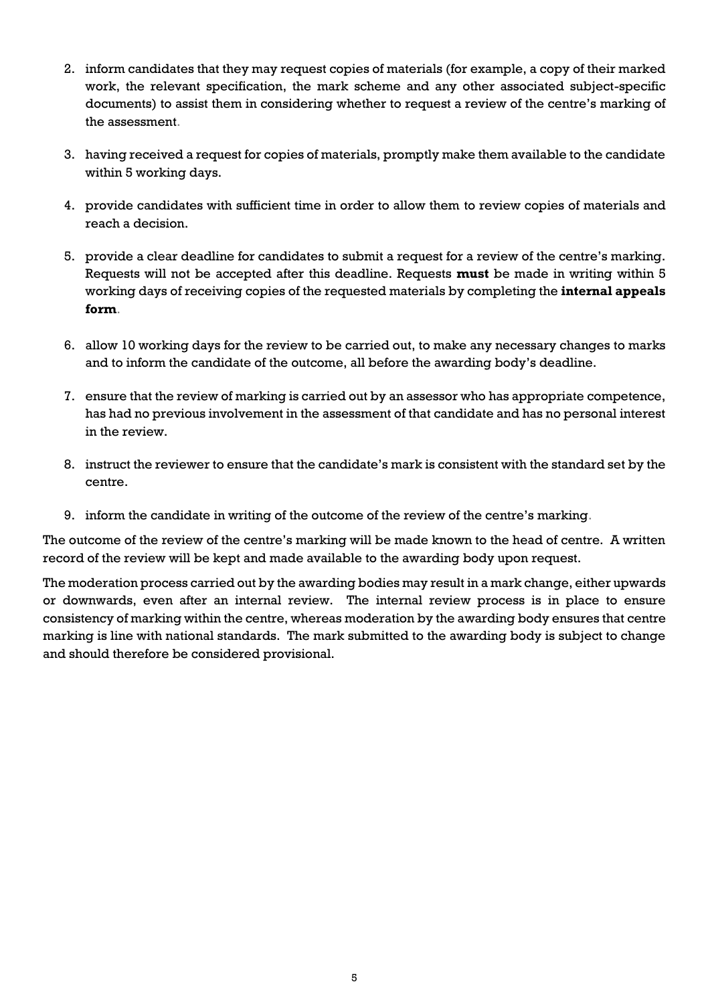- 2. inform candidates that they may request copies of materials (for example, a copy of their marked work, the relevant specification, the mark scheme and any other associated subject-specific documents) to assist them in considering whether to request a review of the centre's marking of the assessment.
- 3. having received a request for copies of materials, promptly make them available to the candidate within 5 working days.
- 4. provide candidates with sufficient time in order to allow them to review copies of materials and reach a decision.
- 5. provide a clear deadline for candidates to submit a request for a review of the centre's marking. Requests will not be accepted after this deadline. Requests **must** be made in writing within 5 working days of receiving copies of the requested materials by completing the **internal appeals form**.
- 6. allow 10 working days for the review to be carried out, to make any necessary changes to marks and to inform the candidate of the outcome, all before the awarding body's deadline.
- 7. ensure that the review of marking is carried out by an assessor who has appropriate competence, has had no previous involvement in the assessment of that candidate and has no personal interest in the review.
- 8. instruct the reviewer to ensure that the candidate's mark is consistent with the standard set by the centre.
- 9. inform the candidate in writing of the outcome of the review of the centre's marking.

The outcome of the review of the centre's marking will be made known to the head of centre. A written record of the review will be kept and made available to the awarding body upon request.

The moderation process carried out by the awarding bodies may result in a mark change, either upwards or downwards, even after an internal review. The internal review process is in place to ensure consistency of marking within the centre, whereas moderation by the awarding body ensures that centre marking is line with national standards. The mark submitted to the awarding body is subject to change and should therefore be considered provisional.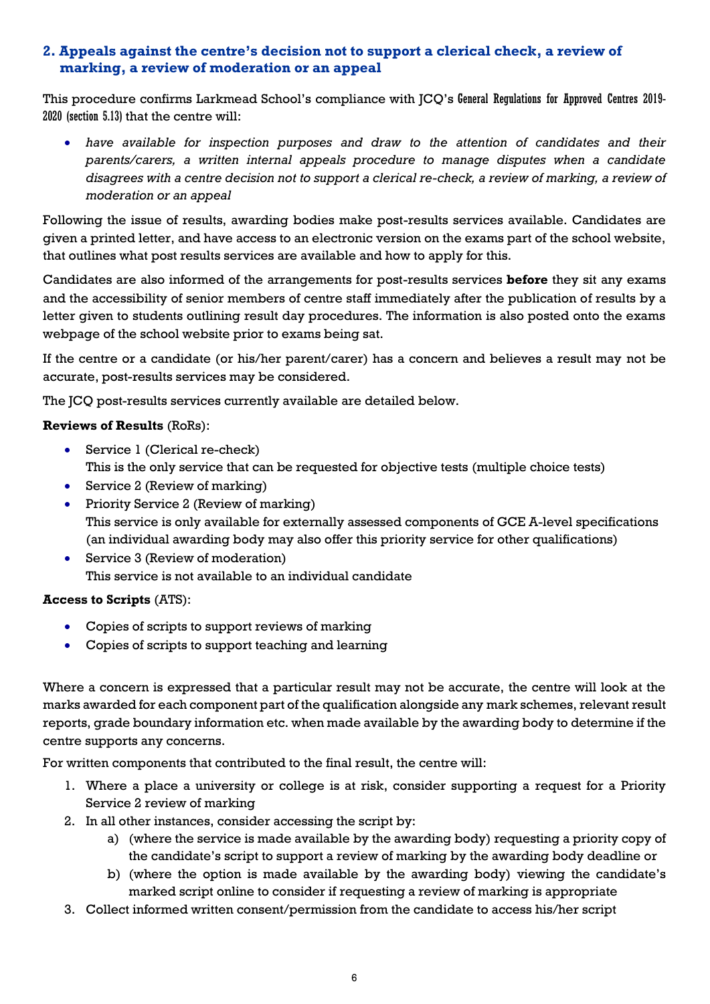#### <span id="page-5-0"></span>**2. Appeals against the centre's decision not to support a clerical check, a review of marking, a review of moderation or an appeal**

This procedure confirms Larkmead School's compliance with JCQ's General Regulations for Approved Centres 2019- 2020 (section 5.13) that the centre will:

 *have available for inspection purposes and draw to the attention of candidates and their parents/carers, a written internal appeals procedure to manage disputes when a candidate disagrees with a centre decision not to support a clerical re-check, a review of marking, a review of moderation or an appeal*

Following the issue of results, awarding bodies make post-results services available. Candidates are given a printed letter, and have access to an electronic version on the exams part of the school website, that outlines what post results services are available and how to apply for this.

Candidates are also informed of the arrangements for post-results services **before** they sit any exams and the accessibility of senior members of centre staff immediately after the publication of results by a letter given to students outlining result day procedures. The information is also posted onto the exams webpage of the school website prior to exams being sat.

If the centre or a candidate (or his/her parent/carer) has a concern and believes a result may not be accurate, post-results services may be considered.

The JCQ post-results services currently available are detailed below.

#### **Reviews of Results** (RoRs):

- Service 1 (Clerical re-check) This is the only service that can be requested for objective tests (multiple choice tests)
- Service 2 (Review of marking)
- Priority Service 2 (Review of marking) This service is only available for externally assessed components of GCE A-level specifications (an individual awarding body may also offer this priority service for other qualifications)
- Service 3 (Review of moderation) This service is not available to an individual candidate

#### **Access to Scripts** (ATS):

- Copies of scripts to support reviews of marking
- Copies of scripts to support teaching and learning

Where a concern is expressed that a particular result may not be accurate, the centre will look at the marks awarded for each component part of the qualification alongside any mark schemes, relevant result reports, grade boundary information etc. when made available by the awarding body to determine if the centre supports any concerns.

For written components that contributed to the final result, the centre will:

- 1. Where a place a university or college is at risk, consider supporting a request for a Priority Service 2 review of marking
- 2. In all other instances, consider accessing the script by:
	- a) (where the service is made available by the awarding body) requesting a priority copy of the candidate's script to support a review of marking by the awarding body deadline or
	- b) (where the option is made available by the awarding body) viewing the candidate's marked script online to consider if requesting a review of marking is appropriate
- 3. Collect informed written consent/permission from the candidate to access his/her script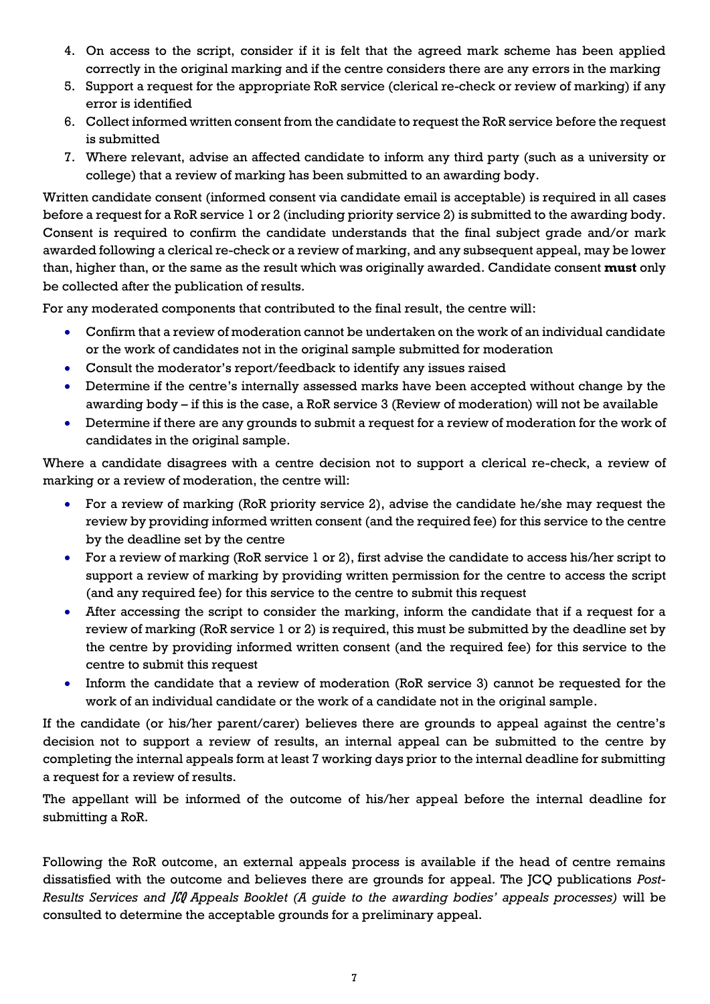- 4. On access to the script, consider if it is felt that the agreed mark scheme has been applied correctly in the original marking and if the centre considers there are any errors in the marking
- 5. Support a request for the appropriate RoR service (clerical re-check or review of marking) if any error is identified
- 6. Collect informed written consent from the candidate to request the RoR service before the request is submitted
- 7. Where relevant, advise an affected candidate to inform any third party (such as a university or college) that a review of marking has been submitted to an awarding body.

Written candidate consent (informed consent via candidate email is acceptable) is required in all cases before a request for a RoR service 1 or 2 (including priority service 2) is submitted to the awarding body. Consent is required to confirm the candidate understands that the final subject grade and/or mark awarded following a clerical re-check or a review of marking, and any subsequent appeal, may be lower than, higher than, or the same as the result which was originally awarded. Candidate consent **must** only be collected after the publication of results.

For any moderated components that contributed to the final result, the centre will:

- Confirm that a review of moderation cannot be undertaken on the work of an individual candidate or the work of candidates not in the original sample submitted for moderation
- Consult the moderator's report/feedback to identify any issues raised
- Determine if the centre's internally assessed marks have been accepted without change by the awarding body – if this is the case, a RoR service 3 (Review of moderation) will not be available
- Determine if there are any grounds to submit a request for a review of moderation for the work of candidates in the original sample.

Where a candidate disagrees with a centre decision not to support a clerical re-check, a review of marking or a review of moderation, the centre will:

- For a review of marking (RoR priority service 2), advise the candidate he/she may request the review by providing informed written consent (and the required fee) for this service to the centre by the deadline set by the centre
- For a review of marking (RoR service 1 or 2), first advise the candidate to access his/her script to support a review of marking by providing written permission for the centre to access the script (and any required fee) for this service to the centre to submit this request
- After accessing the script to consider the marking, inform the candidate that if a request for a review of marking (RoR service 1 or 2) is required, this must be submitted by the deadline set by the centre by providing informed written consent (and the required fee) for this service to the centre to submit this request
- Inform the candidate that a review of moderation (RoR service 3) cannot be requested for the work of an individual candidate or the work of a candidate not in the original sample.

If the candidate (or his/her parent/carer) believes there are grounds to appeal against the centre's decision not to support a review of results, an internal appeal can be submitted to the centre by completing the internal appeals form at least 7 working days prior to the internal deadline for submitting a request for a review of results.

The appellant will be informed of the outcome of his/her appeal before the internal deadline for submitting a RoR.

Following the RoR outcome, an external appeals process is available if the head of centre remains dissatisfied with the outcome and believes there are grounds for appeal. The JCQ publications *Post-Results Services and* JCQ *Appeals Booklet (A guide to the awarding bodies' appeals processes)* will be consulted to determine the acceptable grounds for a preliminary appeal.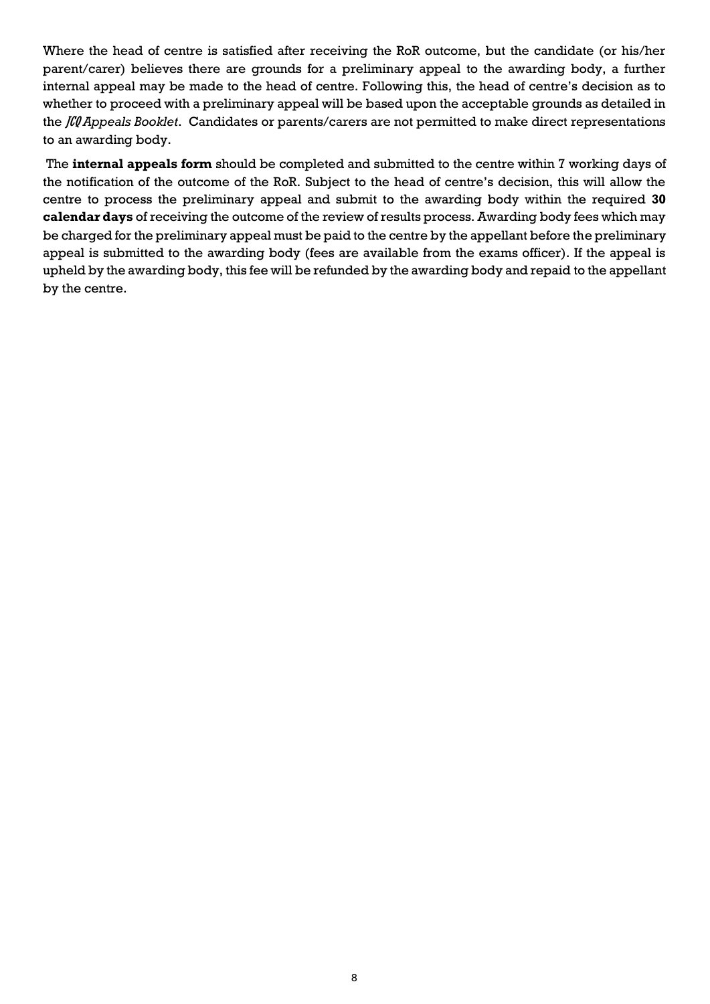Where the head of centre is satisfied after receiving the RoR outcome, but the candidate (or his/her parent/carer) believes there are grounds for a preliminary appeal to the awarding body, a further internal appeal may be made to the head of centre. Following this, the head of centre's decision as to whether to proceed with a preliminary appeal will be based upon the acceptable grounds as detailed in the JCQ *Appeals Booklet*. Candidates or parents/carers are not permitted to make direct representations to an awarding body.

The **internal appeals form** should be completed and submitted to the centre within 7 working days of the notification of the outcome of the RoR. Subject to the head of centre's decision, this will allow the centre to process the preliminary appeal and submit to the awarding body within the required **30 calendar days** of receiving the outcome of the review of results process. Awarding body fees which may be charged for the preliminary appeal must be paid to the centre by the appellant before the preliminary appeal is submitted to the awarding body (fees are available from the exams officer). If the appeal is upheld by the awarding body, this fee will be refunded by the awarding body and repaid to the appellant by the centre.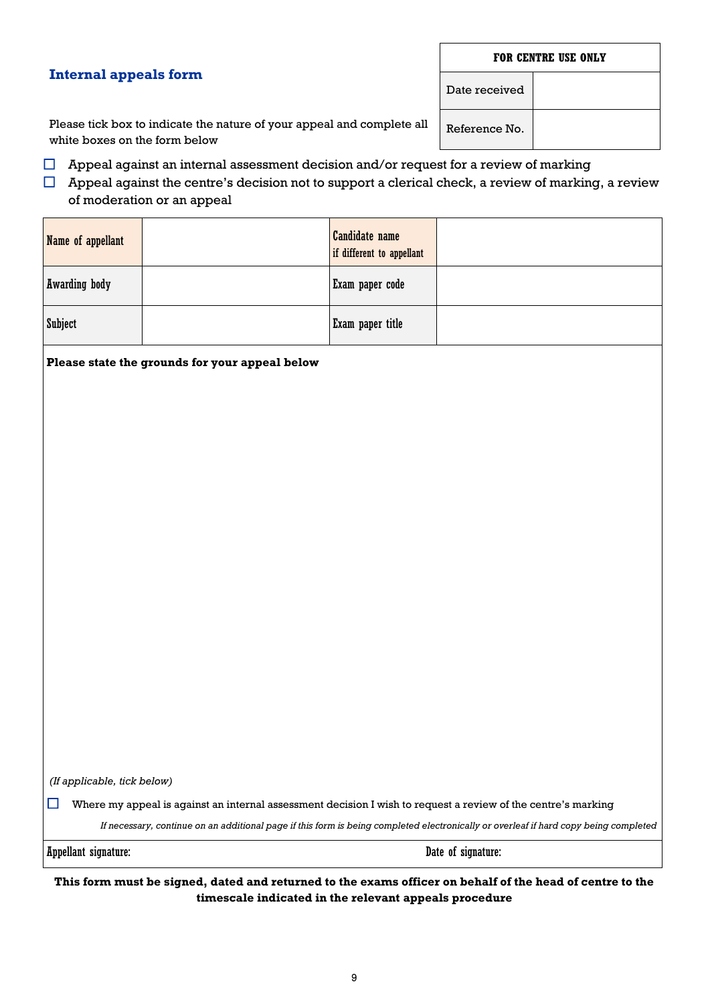#### **FOR CENTRE USE ONLY**

#### **Internal appeals form**

Date received

Reference No.

Please tick box to indicate the nature of your appeal and complete all white boxes on the form below

 $\Box$  Appeal against an internal assessment decision and/or request for a review of marking

 $\Box$  Appeal against the centre's decision not to support a clerical check, a review of marking, a review of moderation or an appeal

| Name of appellant    | Candidate name<br>if different to appellant |  |
|----------------------|---------------------------------------------|--|
| <b>Awarding body</b> | Exam paper code                             |  |
| <b>Subject</b>       | Exam paper title                            |  |

**Please state the grounds for your appeal below**

*(If applicable, tick below)*

 $\Box$  Where my appeal is against an internal assessment decision I wish to request a review of the centre's marking

*If necessary, continue on an additional page if this form is being completed electronically or overleaf if hard copy being completed*

Appellant signature: Date of signature:

**This form must be signed, dated and returned to the exams officer on behalf of the head of centre to the timescale indicated in the relevant appeals procedure**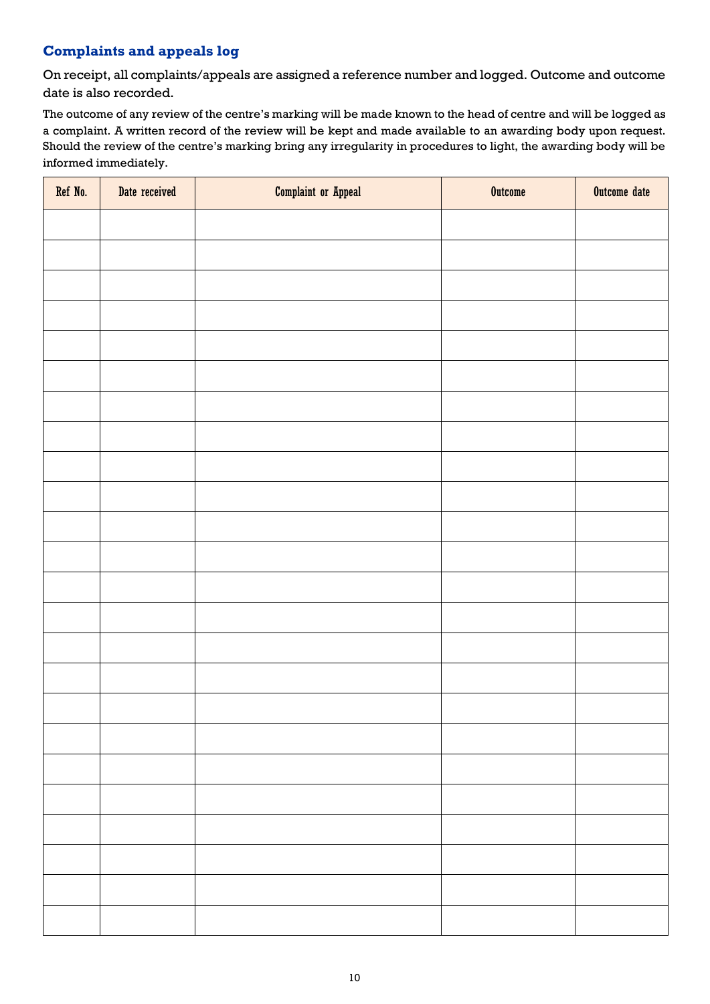### **Complaints and appeals log**

On receipt, all complaints/appeals are assigned a reference number and logged. Outcome and outcome date is also recorded.

The outcome of any review of the centre's marking will be made known to the head of centre and will be logged as a complaint. A written record of the review will be kept and made available to an awarding body upon request. Should the review of the centre's marking bring any irregularity in procedures to light, the awarding body will be informed immediately.

| Ref No. | Date received | <b>Complaint or Appeal</b> | <b>Outcome</b> | Outcome date |
|---------|---------------|----------------------------|----------------|--------------|
|         |               |                            |                |              |
|         |               |                            |                |              |
|         |               |                            |                |              |
|         |               |                            |                |              |
|         |               |                            |                |              |
|         |               |                            |                |              |
|         |               |                            |                |              |
|         |               |                            |                |              |
|         |               |                            |                |              |
|         |               |                            |                |              |
|         |               |                            |                |              |
|         |               |                            |                |              |
|         |               |                            |                |              |
|         |               |                            |                |              |
|         |               |                            |                |              |
|         |               |                            |                |              |
|         |               |                            |                |              |
|         |               |                            |                |              |
|         |               |                            |                |              |
|         |               |                            |                |              |
|         |               |                            |                |              |
|         |               |                            |                |              |
|         |               |                            |                |              |
|         |               |                            |                |              |